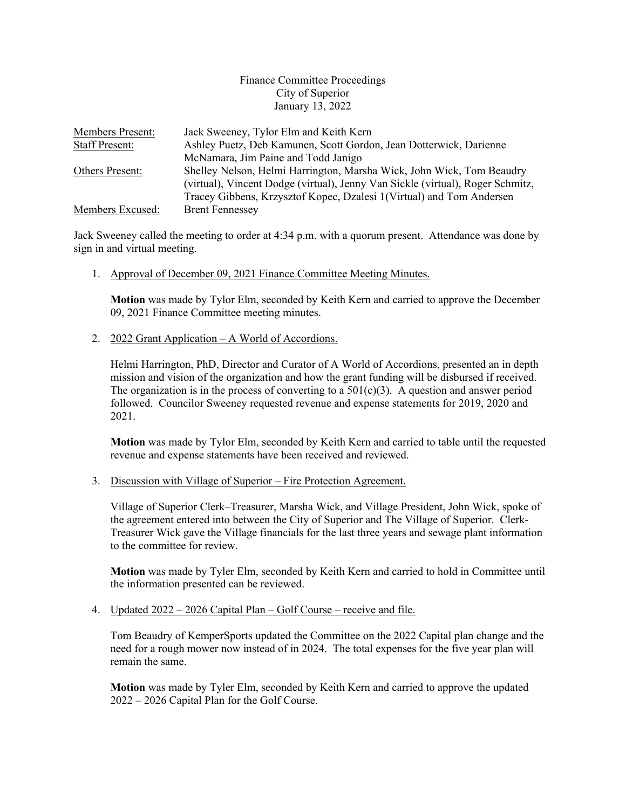## Finance Committee Proceedings City of Superior January 13, 2022

| <b>Members Present:</b> | Jack Sweeney, Tylor Elm and Keith Kern                                         |
|-------------------------|--------------------------------------------------------------------------------|
| <b>Staff Present:</b>   | Ashley Puetz, Deb Kamunen, Scott Gordon, Jean Dotterwick, Darienne             |
|                         | McNamara, Jim Paine and Todd Janigo                                            |
| Others Present:         | Shelley Nelson, Helmi Harrington, Marsha Wick, John Wick, Tom Beaudry          |
|                         | (virtual), Vincent Dodge (virtual), Jenny Van Sickle (virtual), Roger Schmitz, |
|                         | Tracey Gibbens, Krzysztof Kopec, Dzalesi 1(Virtual) and Tom Andersen           |
| Members Excused:        | <b>Brent Fennessey</b>                                                         |

Jack Sweeney called the meeting to order at 4:34 p.m. with a quorum present. Attendance was done by sign in and virtual meeting.

1. Approval of December 09, 2021 Finance Committee Meeting Minutes.

**Motion** was made by Tylor Elm, seconded by Keith Kern and carried to approve the December 09, 2021 Finance Committee meeting minutes.

2. 2022 Grant Application – A World of Accordions.

Helmi Harrington, PhD, Director and Curator of A World of Accordions, presented an in depth mission and vision of the organization and how the grant funding will be disbursed if received. The organization is in the process of converting to a  $501(c)(3)$ . A question and answer period followed. Councilor Sweeney requested revenue and expense statements for 2019, 2020 and 2021.

**Motion** was made by Tylor Elm, seconded by Keith Kern and carried to table until the requested revenue and expense statements have been received and reviewed.

3. Discussion with Village of Superior – Fire Protection Agreement.

Village of Superior Clerk–Treasurer, Marsha Wick, and Village President, John Wick, spoke of the agreement entered into between the City of Superior and The Village of Superior. Clerk-Treasurer Wick gave the Village financials for the last three years and sewage plant information to the committee for review.

**Motion** was made by Tyler Elm, seconded by Keith Kern and carried to hold in Committee until the information presented can be reviewed.

4. Updated 2022 – 2026 Capital Plan – Golf Course – receive and file.

Tom Beaudry of KemperSports updated the Committee on the 2022 Capital plan change and the need for a rough mower now instead of in 2024. The total expenses for the five year plan will remain the same.

**Motion** was made by Tyler Elm, seconded by Keith Kern and carried to approve the updated 2022 – 2026 Capital Plan for the Golf Course.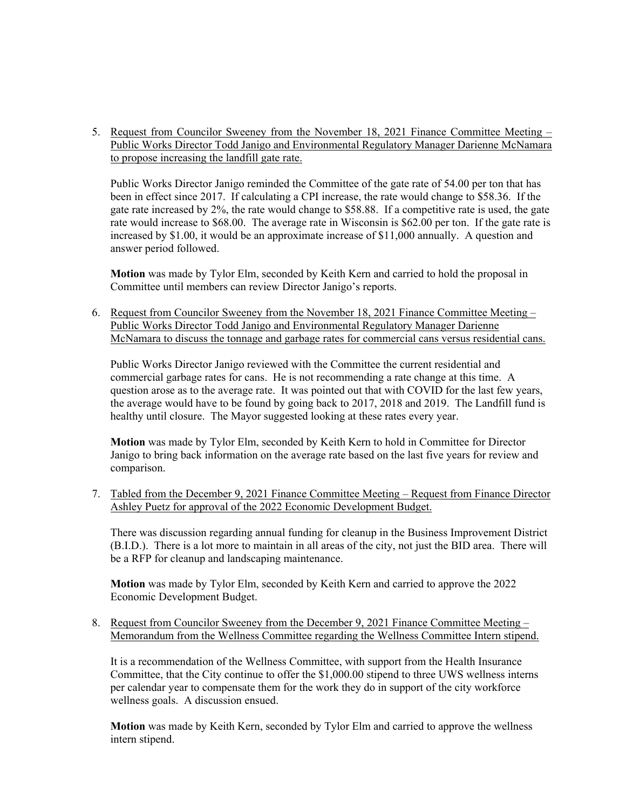5. Request from Councilor Sweeney from the November 18, 2021 Finance Committee Meeting – Public Works Director Todd Janigo and Environmental Regulatory Manager Darienne McNamara to propose increasing the landfill gate rate.

Public Works Director Janigo reminded the Committee of the gate rate of 54.00 per ton that has been in effect since 2017. If calculating a CPI increase, the rate would change to \$58.36. If the gate rate increased by 2%, the rate would change to \$58.88. If a competitive rate is used, the gate rate would increase to \$68.00. The average rate in Wisconsin is \$62.00 per ton. If the gate rate is increased by \$1.00, it would be an approximate increase of \$11,000 annually. A question and answer period followed.

**Motion** was made by Tylor Elm, seconded by Keith Kern and carried to hold the proposal in Committee until members can review Director Janigo's reports.

6. Request from Councilor Sweeney from the November 18, 2021 Finance Committee Meeting – Public Works Director Todd Janigo and Environmental Regulatory Manager Darienne McNamara to discuss the tonnage and garbage rates for commercial cans versus residential cans.

Public Works Director Janigo reviewed with the Committee the current residential and commercial garbage rates for cans. He is not recommending a rate change at this time. A question arose as to the average rate. It was pointed out that with COVID for the last few years, the average would have to be found by going back to 2017, 2018 and 2019. The Landfill fund is healthy until closure. The Mayor suggested looking at these rates every year.

**Motion** was made by Tylor Elm, seconded by Keith Kern to hold in Committee for Director Janigo to bring back information on the average rate based on the last five years for review and comparison.

7. Tabled from the December 9, 2021 Finance Committee Meeting – Request from Finance Director Ashley Puetz for approval of the 2022 Economic Development Budget.

There was discussion regarding annual funding for cleanup in the Business Improvement District (B.I.D.). There is a lot more to maintain in all areas of the city, not just the BID area. There will be a RFP for cleanup and landscaping maintenance.

**Motion** was made by Tylor Elm, seconded by Keith Kern and carried to approve the 2022 Economic Development Budget.

8. Request from Councilor Sweeney from the December 9, 2021 Finance Committee Meeting – Memorandum from the Wellness Committee regarding the Wellness Committee Intern stipend.

It is a recommendation of the Wellness Committee, with support from the Health Insurance Committee, that the City continue to offer the \$1,000.00 stipend to three UWS wellness interns per calendar year to compensate them for the work they do in support of the city workforce wellness goals. A discussion ensued.

**Motion** was made by Keith Kern, seconded by Tylor Elm and carried to approve the wellness intern stipend.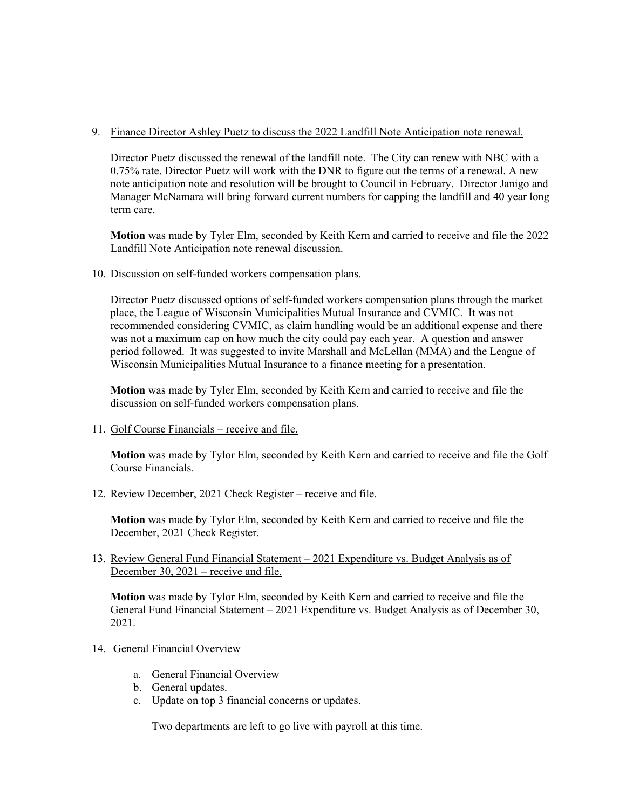## 9. Finance Director Ashley Puetz to discuss the 2022 Landfill Note Anticipation note renewal.

Director Puetz discussed the renewal of the landfill note. The City can renew with NBC with a 0.75% rate. Director Puetz will work with the DNR to figure out the terms of a renewal. A new note anticipation note and resolution will be brought to Council in February. Director Janigo and Manager McNamara will bring forward current numbers for capping the landfill and 40 year long term care.

**Motion** was made by Tyler Elm, seconded by Keith Kern and carried to receive and file the 2022 Landfill Note Anticipation note renewal discussion.

10. Discussion on self-funded workers compensation plans.

Director Puetz discussed options of self-funded workers compensation plans through the market place, the League of Wisconsin Municipalities Mutual Insurance and CVMIC. It was not recommended considering CVMIC, as claim handling would be an additional expense and there was not a maximum cap on how much the city could pay each year. A question and answer period followed. It was suggested to invite Marshall and McLellan (MMA) and the League of Wisconsin Municipalities Mutual Insurance to a finance meeting for a presentation.

**Motion** was made by Tyler Elm, seconded by Keith Kern and carried to receive and file the discussion on self-funded workers compensation plans.

11. Golf Course Financials – receive and file.

**Motion** was made by Tylor Elm, seconded by Keith Kern and carried to receive and file the Golf Course Financials.

12. Review December, 2021 Check Register – receive and file.

**Motion** was made by Tylor Elm, seconded by Keith Kern and carried to receive and file the December, 2021 Check Register.

13. Review General Fund Financial Statement – 2021 Expenditure vs. Budget Analysis as of December 30, 2021 – receive and file.

**Motion** was made by Tylor Elm, seconded by Keith Kern and carried to receive and file the General Fund Financial Statement – 2021 Expenditure vs. Budget Analysis as of December 30, 2021.

- 14. General Financial Overview
	- a. General Financial Overview
	- b. General updates.
	- c. Update on top 3 financial concerns or updates.

Two departments are left to go live with payroll at this time.